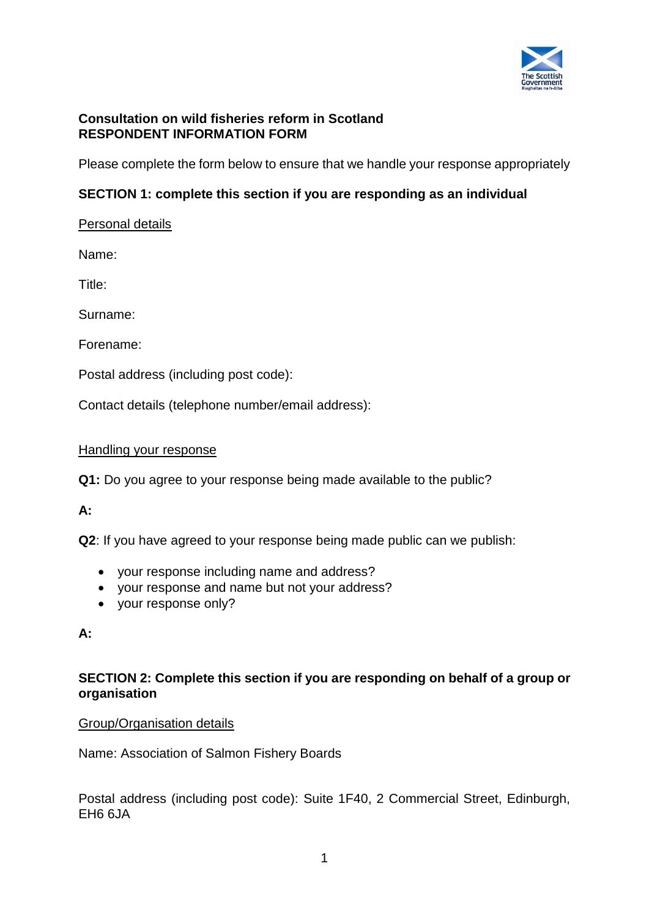

## **Consultation on wild fisheries reform in Scotland RESPONDENT INFORMATION FORM**

Please complete the form below to ensure that we handle your response appropriately

## **SECTION 1: complete this section if you are responding as an individual**

## Personal details

Name:

Title:

Surname:

Forename:

Postal address (including post code):

Contact details (telephone number/email address):

#### Handling your response

**Q1:** Do you agree to your response being made available to the public?

#### **A:**

**Q2**: If you have agreed to your response being made public can we publish:

- your response including name and address?
- your response and name but not your address?
- your response only?

#### **A:**

## **SECTION 2: Complete this section if you are responding on behalf of a group or organisation**

#### Group/Organisation details

Name: Association of Salmon Fishery Boards

Postal address (including post code): Suite 1F40, 2 Commercial Street, Edinburgh, EH6 6JA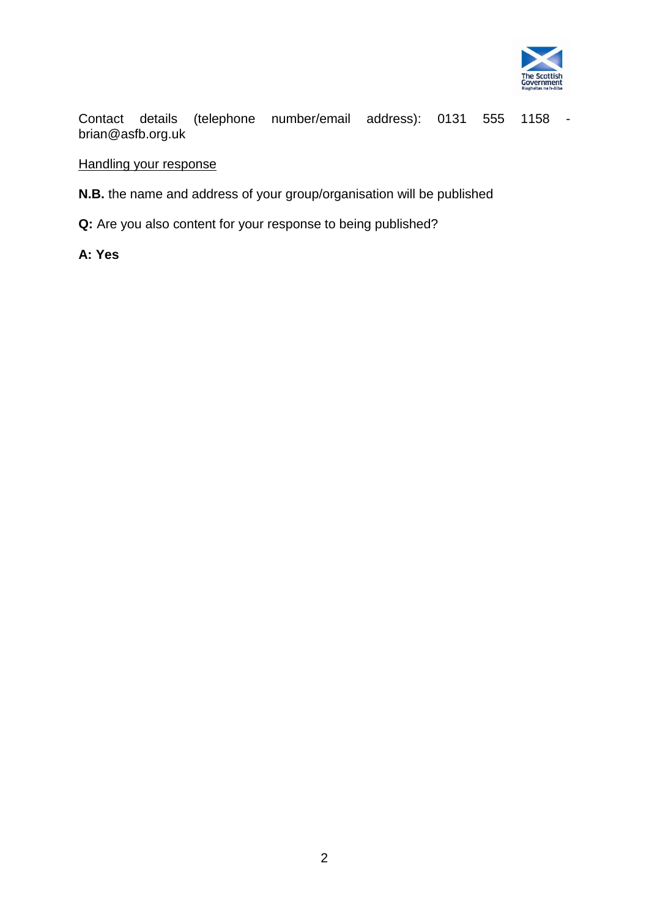

Contact details (telephone number/email address): 0131 555 1158 brian@asfb.org.uk

# Handling your response

**N.B.** the name and address of your group/organisation will be published

**Q:** Are you also content for your response to being published?

**A: Yes**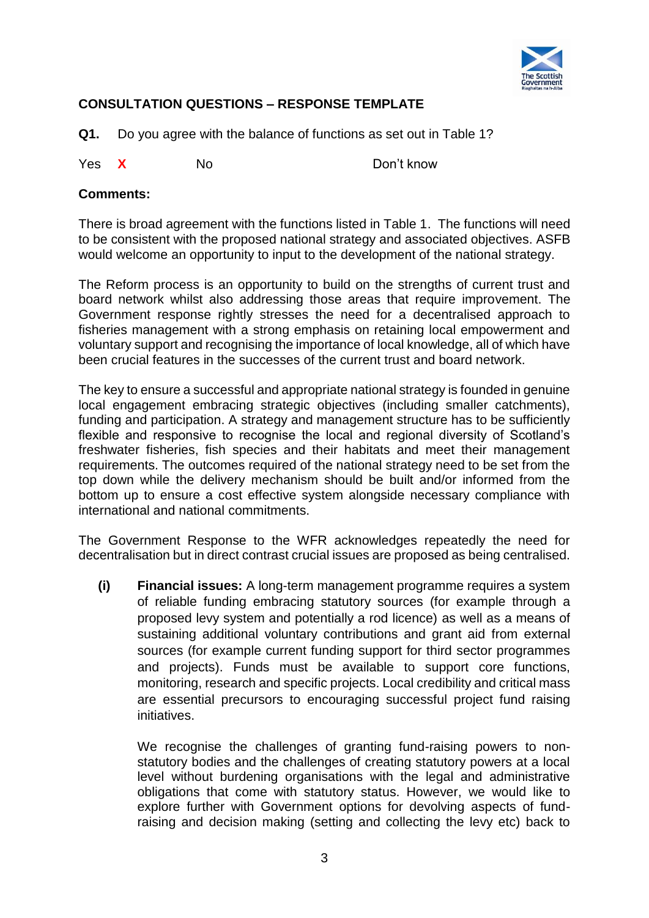

# **CONSULTATION QUESTIONS – RESPONSE TEMPLATE**

**Q1.** Do you agree with the balance of functions as set out in Table 1?

Yes **X** No Don't know

#### **Comments:**

There is broad agreement with the functions listed in Table 1. The functions will need to be consistent with the proposed national strategy and associated objectives. ASFB would welcome an opportunity to input to the development of the national strategy.

The Reform process is an opportunity to build on the strengths of current trust and board network whilst also addressing those areas that require improvement. The Government response rightly stresses the need for a decentralised approach to fisheries management with a strong emphasis on retaining local empowerment and voluntary support and recognising the importance of local knowledge, all of which have been crucial features in the successes of the current trust and board network.

The key to ensure a successful and appropriate national strategy is founded in genuine local engagement embracing strategic objectives (including smaller catchments), funding and participation. A strategy and management structure has to be sufficiently flexible and responsive to recognise the local and regional diversity of Scotland's freshwater fisheries, fish species and their habitats and meet their management requirements. The outcomes required of the national strategy need to be set from the top down while the delivery mechanism should be built and/or informed from the bottom up to ensure a cost effective system alongside necessary compliance with international and national commitments.

The Government Response to the WFR acknowledges repeatedly the need for decentralisation but in direct contrast crucial issues are proposed as being centralised.

**(i) Financial issues:** A long-term management programme requires a system of reliable funding embracing statutory sources (for example through a proposed levy system and potentially a rod licence) as well as a means of sustaining additional voluntary contributions and grant aid from external sources (for example current funding support for third sector programmes and projects). Funds must be available to support core functions, monitoring, research and specific projects. Local credibility and critical mass are essential precursors to encouraging successful project fund raising initiatives.

We recognise the challenges of granting fund-raising powers to nonstatutory bodies and the challenges of creating statutory powers at a local level without burdening organisations with the legal and administrative obligations that come with statutory status. However, we would like to explore further with Government options for devolving aspects of fundraising and decision making (setting and collecting the levy etc) back to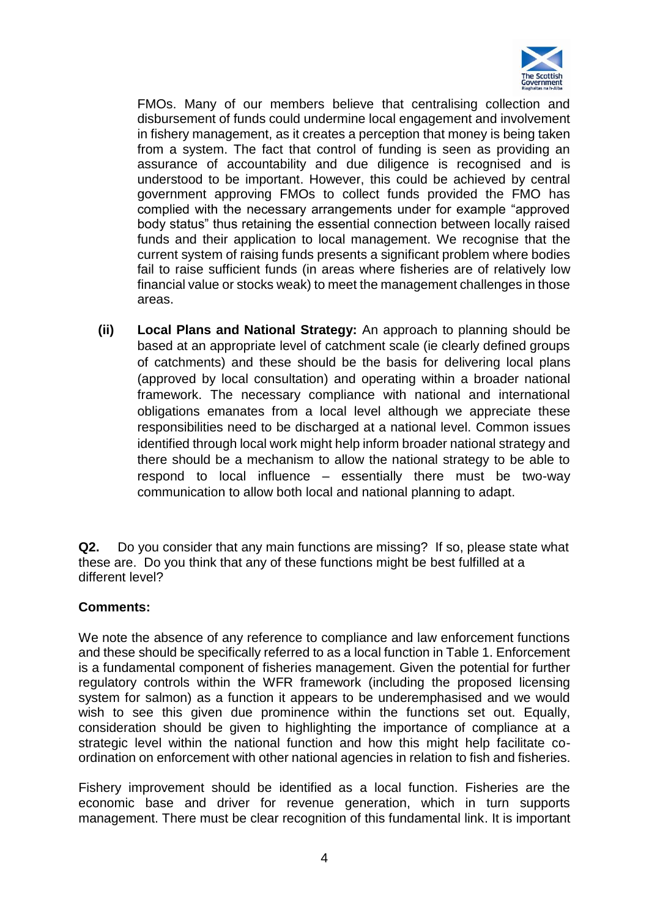

FMOs. Many of our members believe that centralising collection and disbursement of funds could undermine local engagement and involvement in fishery management, as it creates a perception that money is being taken from a system. The fact that control of funding is seen as providing an assurance of accountability and due diligence is recognised and is understood to be important. However, this could be achieved by central government approving FMOs to collect funds provided the FMO has complied with the necessary arrangements under for example "approved body status" thus retaining the essential connection between locally raised funds and their application to local management. We recognise that the current system of raising funds presents a significant problem where bodies fail to raise sufficient funds (in areas where fisheries are of relatively low financial value or stocks weak) to meet the management challenges in those areas.

**(ii) Local Plans and National Strategy:** An approach to planning should be based at an appropriate level of catchment scale (ie clearly defined groups of catchments) and these should be the basis for delivering local plans (approved by local consultation) and operating within a broader national framework. The necessary compliance with national and international obligations emanates from a local level although we appreciate these responsibilities need to be discharged at a national level. Common issues identified through local work might help inform broader national strategy and there should be a mechanism to allow the national strategy to be able to respond to local influence – essentially there must be two-way communication to allow both local and national planning to adapt.

**Q2.** Do you consider that any main functions are missing? If so, please state what these are. Do you think that any of these functions might be best fulfilled at a different level?

#### **Comments:**

We note the absence of any reference to compliance and law enforcement functions and these should be specifically referred to as a local function in Table 1. Enforcement is a fundamental component of fisheries management. Given the potential for further regulatory controls within the WFR framework (including the proposed licensing system for salmon) as a function it appears to be underemphasised and we would wish to see this given due prominence within the functions set out. Equally, consideration should be given to highlighting the importance of compliance at a strategic level within the national function and how this might help facilitate coordination on enforcement with other national agencies in relation to fish and fisheries.

Fishery improvement should be identified as a local function. Fisheries are the economic base and driver for revenue generation, which in turn supports management. There must be clear recognition of this fundamental link. It is important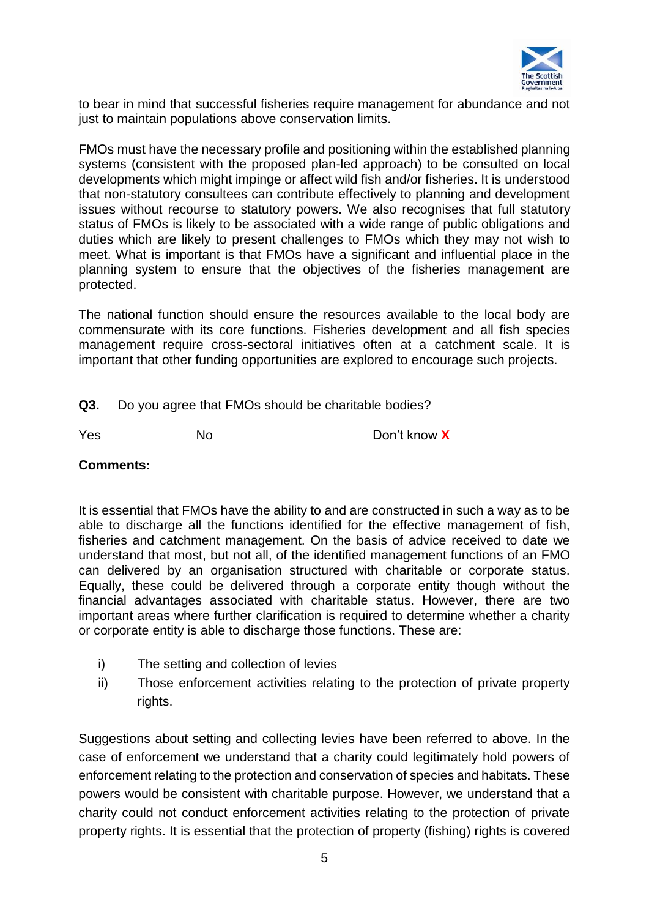

to bear in mind that successful fisheries require management for abundance and not just to maintain populations above conservation limits.

FMOs must have the necessary profile and positioning within the established planning systems (consistent with the proposed plan-led approach) to be consulted on local developments which might impinge or affect wild fish and/or fisheries. It is understood that non-statutory consultees can contribute effectively to planning and development issues without recourse to statutory powers. We also recognises that full statutory status of FMOs is likely to be associated with a wide range of public obligations and duties which are likely to present challenges to FMOs which they may not wish to meet. What is important is that FMOs have a significant and influential place in the planning system to ensure that the objectives of the fisheries management are protected.

The national function should ensure the resources available to the local body are commensurate with its core functions. Fisheries development and all fish species management require cross-sectoral initiatives often at a catchment scale. It is important that other funding opportunities are explored to encourage such projects.

**Q3.** Do you agree that FMOs should be charitable bodies?

Yes No Don't know **X**

#### **Comments:**

It is essential that FMOs have the ability to and are constructed in such a way as to be able to discharge all the functions identified for the effective management of fish, fisheries and catchment management. On the basis of advice received to date we understand that most, but not all, of the identified management functions of an FMO can delivered by an organisation structured with charitable or corporate status. Equally, these could be delivered through a corporate entity though without the financial advantages associated with charitable status. However, there are two important areas where further clarification is required to determine whether a charity or corporate entity is able to discharge those functions. These are:

- i) The setting and collection of levies
- ii) Those enforcement activities relating to the protection of private property rights.

Suggestions about setting and collecting levies have been referred to above. In the case of enforcement we understand that a charity could legitimately hold powers of enforcement relating to the protection and conservation of species and habitats. These powers would be consistent with charitable purpose. However, we understand that a charity could not conduct enforcement activities relating to the protection of private property rights. It is essential that the protection of property (fishing) rights is covered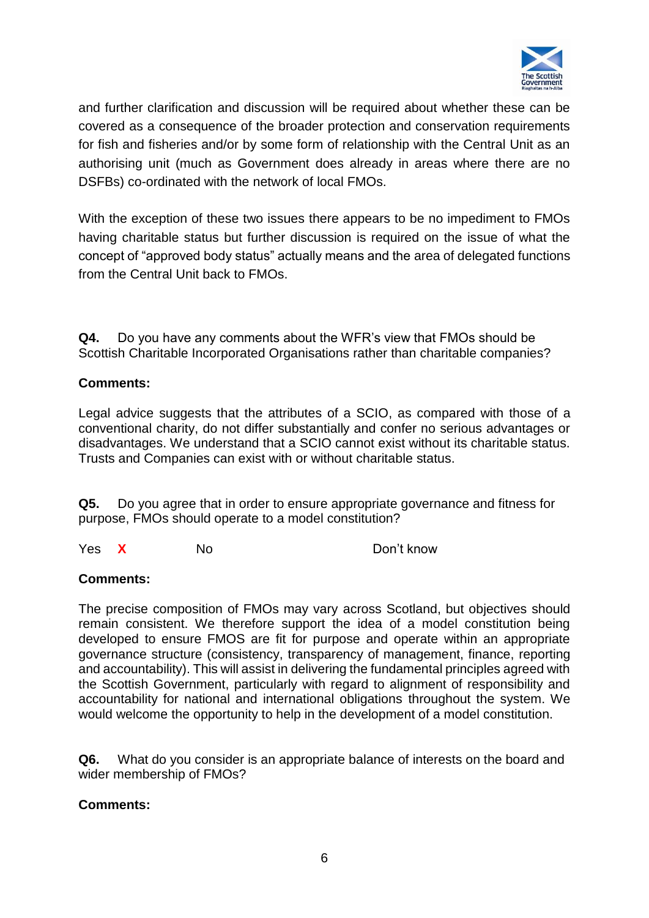

and further clarification and discussion will be required about whether these can be covered as a consequence of the broader protection and conservation requirements for fish and fisheries and/or by some form of relationship with the Central Unit as an authorising unit (much as Government does already in areas where there are no DSFBs) co-ordinated with the network of local FMOs.

With the exception of these two issues there appears to be no impediment to FMOs having charitable status but further discussion is required on the issue of what the concept of "approved body status" actually means and the area of delegated functions from the Central Unit back to FMOs.

**Q4.** Do you have any comments about the WFR's view that FMOs should be Scottish Charitable Incorporated Organisations rather than charitable companies?

## **Comments:**

Legal advice suggests that the attributes of a SCIO, as compared with those of a conventional charity, do not differ substantially and confer no serious advantages or disadvantages. We understand that a SCIO cannot exist without its charitable status. Trusts and Companies can exist with or without charitable status.

**Q5.** Do you agree that in order to ensure appropriate governance and fitness for purpose, FMOs should operate to a model constitution?

Yes **X** No Don't know

#### **Comments:**

The precise composition of FMOs may vary across Scotland, but objectives should remain consistent. We therefore support the idea of a model constitution being developed to ensure FMOS are fit for purpose and operate within an appropriate governance structure (consistency, transparency of management, finance, reporting and accountability). This will assist in delivering the fundamental principles agreed with the Scottish Government, particularly with regard to alignment of responsibility and accountability for national and international obligations throughout the system. We would welcome the opportunity to help in the development of a model constitution.

**Q6.** What do you consider is an appropriate balance of interests on the board and wider membership of FMOs?

#### **Comments:**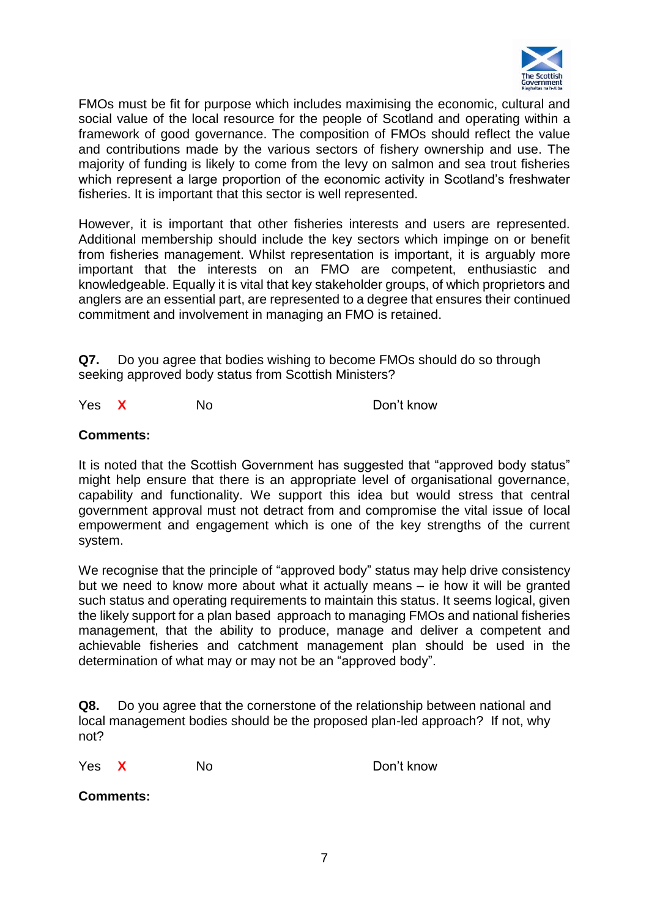

FMOs must be fit for purpose which includes maximising the economic, cultural and social value of the local resource for the people of Scotland and operating within a framework of good governance. The composition of FMOs should reflect the value and contributions made by the various sectors of fishery ownership and use. The majority of funding is likely to come from the levy on salmon and sea trout fisheries which represent a large proportion of the economic activity in Scotland's freshwater fisheries. It is important that this sector is well represented.

However, it is important that other fisheries interests and users are represented. Additional membership should include the key sectors which impinge on or benefit from fisheries management. Whilst representation is important, it is arguably more important that the interests on an FMO are competent, enthusiastic and knowledgeable. Equally it is vital that key stakeholder groups, of which proprietors and anglers are an essential part, are represented to a degree that ensures their continued commitment and involvement in managing an FMO is retained.

**Q7.** Do you agree that bodies wishing to become FMOs should do so through seeking approved body status from Scottish Ministers?

Yes **X** No Don't know

#### **Comments:**

It is noted that the Scottish Government has suggested that "approved body status" might help ensure that there is an appropriate level of organisational governance, capability and functionality. We support this idea but would stress that central government approval must not detract from and compromise the vital issue of local empowerment and engagement which is one of the key strengths of the current system.

We recognise that the principle of "approved body" status may help drive consistency but we need to know more about what it actually means – ie how it will be granted such status and operating requirements to maintain this status. It seems logical, given the likely support for a plan based approach to managing FMOs and national fisheries management, that the ability to produce, manage and deliver a competent and achievable fisheries and catchment management plan should be used in the determination of what may or may not be an "approved body".

**Q8.** Do you agree that the cornerstone of the relationship between national and local management bodies should be the proposed plan-led approach? If not, why not?

Yes **X** No Don't know

**Comments:**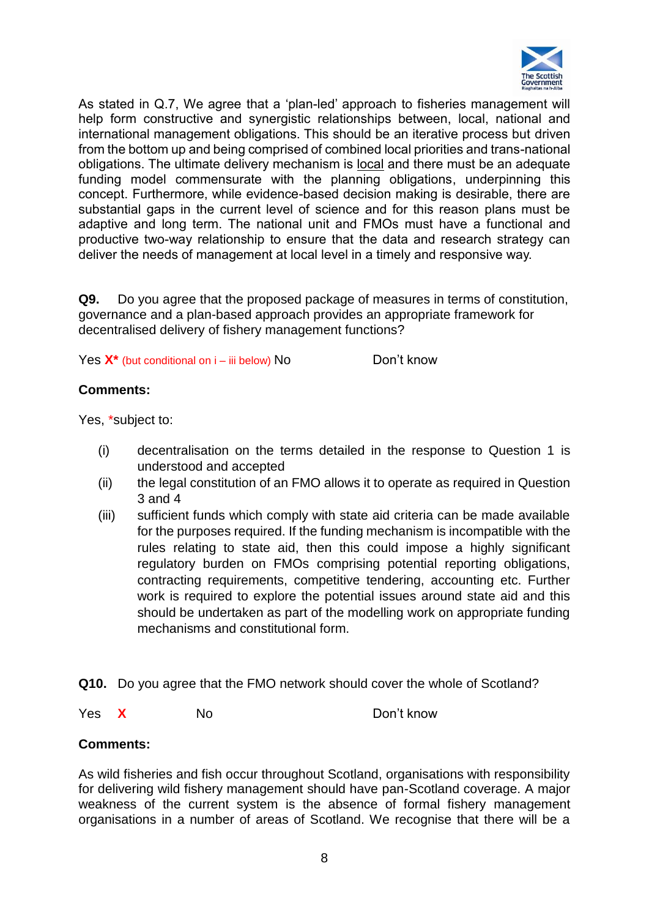

As stated in Q.7, We agree that a 'plan-led' approach to fisheries management will help form constructive and synergistic relationships between, local, national and international management obligations. This should be an iterative process but driven from the bottom up and being comprised of combined local priorities and trans-national obligations. The ultimate delivery mechanism is local and there must be an adequate funding model commensurate with the planning obligations, underpinning this concept. Furthermore, while evidence-based decision making is desirable, there are substantial gaps in the current level of science and for this reason plans must be adaptive and long term. The national unit and FMOs must have a functional and productive two-way relationship to ensure that the data and research strategy can deliver the needs of management at local level in a timely and responsive way.

**Q9.** Do you agree that the proposed package of measures in terms of constitution, governance and a plan-based approach provides an appropriate framework for decentralised delivery of fishery management functions?

Yes  $X^*$  (but conditional on  $i$  – iii below) No Don't know

#### **Comments:**

Yes, \*subject to:

- (i) decentralisation on the terms detailed in the response to Question 1 is understood and accepted
- (ii) the legal constitution of an FMO allows it to operate as required in Question 3 and 4
- (iii) sufficient funds which comply with state aid criteria can be made available for the purposes required. If the funding mechanism is incompatible with the rules relating to state aid, then this could impose a highly significant regulatory burden on FMOs comprising potential reporting obligations, contracting requirements, competitive tendering, accounting etc. Further work is required to explore the potential issues around state aid and this should be undertaken as part of the modelling work on appropriate funding mechanisms and constitutional form.
- **Q10.** Do you agree that the FMO network should cover the whole of Scotland?
- Yes **X** No Don't know

## **Comments:**

As wild fisheries and fish occur throughout Scotland, organisations with responsibility for delivering wild fishery management should have pan-Scotland coverage. A major weakness of the current system is the absence of formal fishery management organisations in a number of areas of Scotland. We recognise that there will be a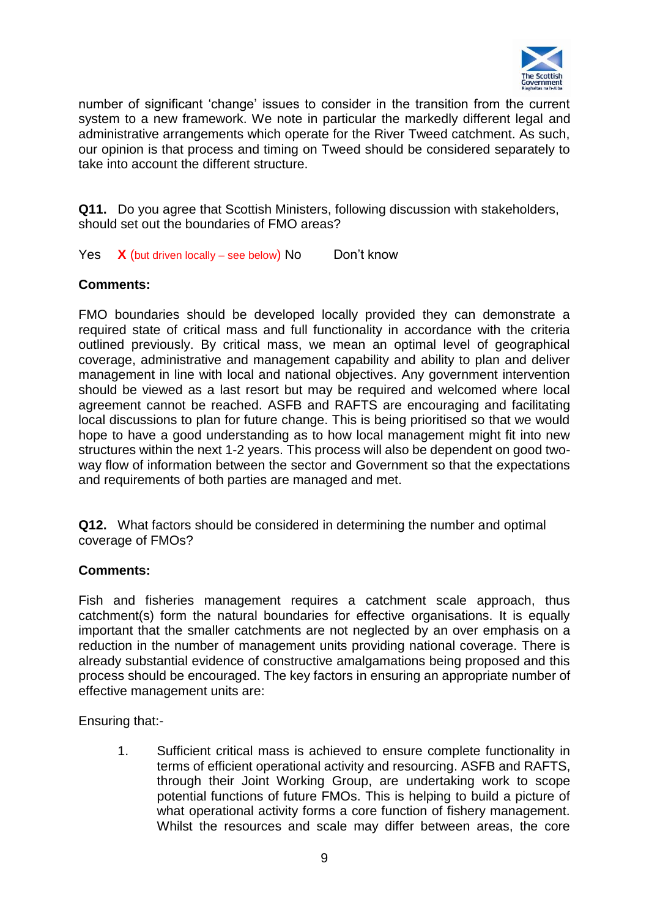

number of significant 'change' issues to consider in the transition from the current system to a new framework. We note in particular the markedly different legal and administrative arrangements which operate for the River Tweed catchment. As such, our opinion is that process and timing on Tweed should be considered separately to take into account the different structure.

**Q11.** Do you agree that Scottish Ministers, following discussion with stakeholders, should set out the boundaries of FMO areas?

Yes X (but driven locally – see below) No Don't know

#### **Comments:**

FMO boundaries should be developed locally provided they can demonstrate a required state of critical mass and full functionality in accordance with the criteria outlined previously. By critical mass, we mean an optimal level of geographical coverage, administrative and management capability and ability to plan and deliver management in line with local and national objectives. Any government intervention should be viewed as a last resort but may be required and welcomed where local agreement cannot be reached. ASFB and RAFTS are encouraging and facilitating local discussions to plan for future change. This is being prioritised so that we would hope to have a good understanding as to how local management might fit into new structures within the next 1-2 years. This process will also be dependent on good twoway flow of information between the sector and Government so that the expectations and requirements of both parties are managed and met.

**Q12.** What factors should be considered in determining the number and optimal coverage of FMOs?

#### **Comments:**

Fish and fisheries management requires a catchment scale approach, thus catchment(s) form the natural boundaries for effective organisations. It is equally important that the smaller catchments are not neglected by an over emphasis on a reduction in the number of management units providing national coverage. There is already substantial evidence of constructive amalgamations being proposed and this process should be encouraged. The key factors in ensuring an appropriate number of effective management units are:

Ensuring that:-

1. Sufficient critical mass is achieved to ensure complete functionality in terms of efficient operational activity and resourcing. ASFB and RAFTS, through their Joint Working Group, are undertaking work to scope potential functions of future FMOs. This is helping to build a picture of what operational activity forms a core function of fishery management. Whilst the resources and scale may differ between areas, the core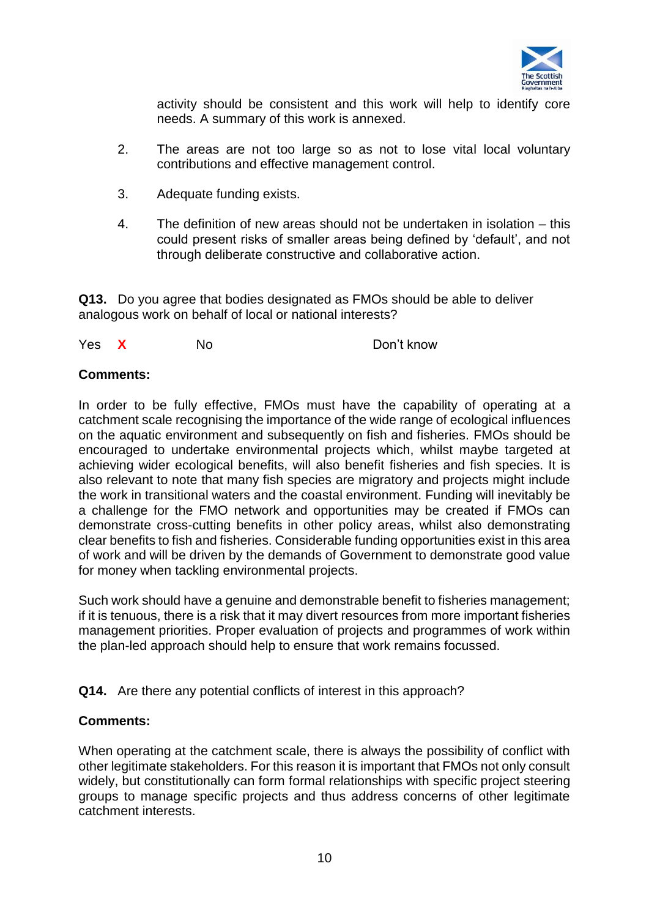

activity should be consistent and this work will help to identify core needs. A summary of this work is annexed.

- 2. The areas are not too large so as not to lose vital local voluntary contributions and effective management control.
- 3. Adequate funding exists.
- 4. The definition of new areas should not be undertaken in isolation this could present risks of smaller areas being defined by 'default', and not through deliberate constructive and collaborative action.

**Q13.** Do you agree that bodies designated as FMOs should be able to deliver analogous work on behalf of local or national interests?

Yes **X** No Don't know

#### **Comments:**

In order to be fully effective, FMOs must have the capability of operating at a catchment scale recognising the importance of the wide range of ecological influences on the aquatic environment and subsequently on fish and fisheries. FMOs should be encouraged to undertake environmental projects which, whilst maybe targeted at achieving wider ecological benefits, will also benefit fisheries and fish species. It is also relevant to note that many fish species are migratory and projects might include the work in transitional waters and the coastal environment. Funding will inevitably be a challenge for the FMO network and opportunities may be created if FMOs can demonstrate cross-cutting benefits in other policy areas, whilst also demonstrating clear benefits to fish and fisheries. Considerable funding opportunities exist in this area of work and will be driven by the demands of Government to demonstrate good value for money when tackling environmental projects.

Such work should have a genuine and demonstrable benefit to fisheries management; if it is tenuous, there is a risk that it may divert resources from more important fisheries management priorities. Proper evaluation of projects and programmes of work within the plan-led approach should help to ensure that work remains focussed.

#### **Q14.** Are there any potential conflicts of interest in this approach?

#### **Comments:**

When operating at the catchment scale, there is always the possibility of conflict with other legitimate stakeholders. For this reason it is important that FMOs not only consult widely, but constitutionally can form formal relationships with specific project steering groups to manage specific projects and thus address concerns of other legitimate catchment interests.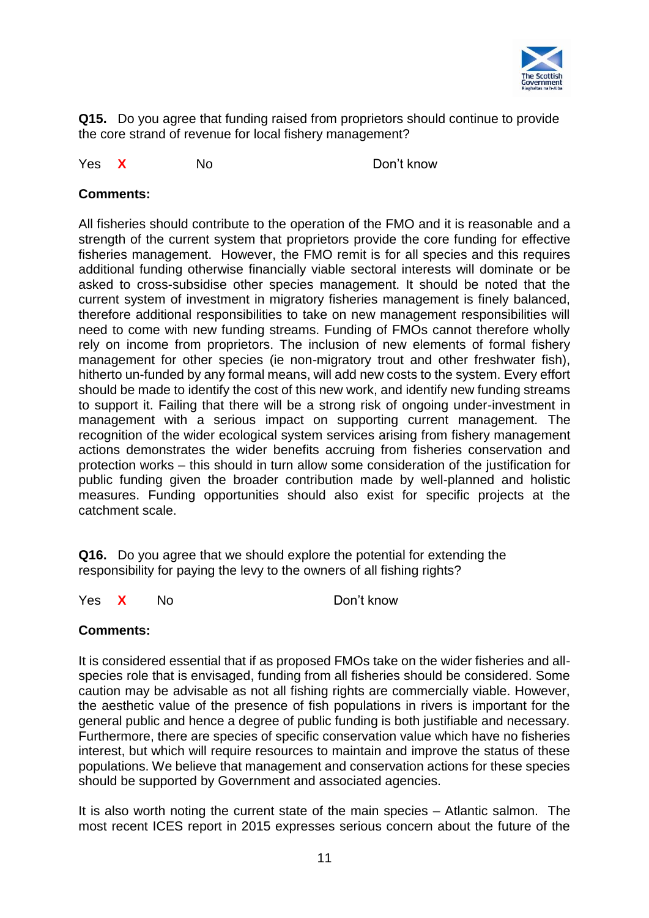

**Q15.** Do you agree that funding raised from proprietors should continue to provide the core strand of revenue for local fishery management?

Yes **X** No Don't know

## **Comments:**

All fisheries should contribute to the operation of the FMO and it is reasonable and a strength of the current system that proprietors provide the core funding for effective fisheries management. However, the FMO remit is for all species and this requires additional funding otherwise financially viable sectoral interests will dominate or be asked to cross-subsidise other species management. It should be noted that the current system of investment in migratory fisheries management is finely balanced, therefore additional responsibilities to take on new management responsibilities will need to come with new funding streams. Funding of FMOs cannot therefore wholly rely on income from proprietors. The inclusion of new elements of formal fishery management for other species (ie non-migratory trout and other freshwater fish), hitherto un-funded by any formal means, will add new costs to the system. Every effort should be made to identify the cost of this new work, and identify new funding streams to support it. Failing that there will be a strong risk of ongoing under-investment in management with a serious impact on supporting current management. The recognition of the wider ecological system services arising from fishery management actions demonstrates the wider benefits accruing from fisheries conservation and protection works – this should in turn allow some consideration of the justification for public funding given the broader contribution made by well-planned and holistic measures. Funding opportunities should also exist for specific projects at the catchment scale.

**Q16.** Do you agree that we should explore the potential for extending the responsibility for paying the levy to the owners of all fishing rights?

Yes **X** No Don't know

#### **Comments:**

It is considered essential that if as proposed FMOs take on the wider fisheries and allspecies role that is envisaged, funding from all fisheries should be considered. Some caution may be advisable as not all fishing rights are commercially viable. However, the aesthetic value of the presence of fish populations in rivers is important for the general public and hence a degree of public funding is both justifiable and necessary. Furthermore, there are species of specific conservation value which have no fisheries interest, but which will require resources to maintain and improve the status of these populations. We believe that management and conservation actions for these species should be supported by Government and associated agencies.

It is also worth noting the current state of the main species – Atlantic salmon. The most recent ICES report in 2015 expresses serious concern about the future of the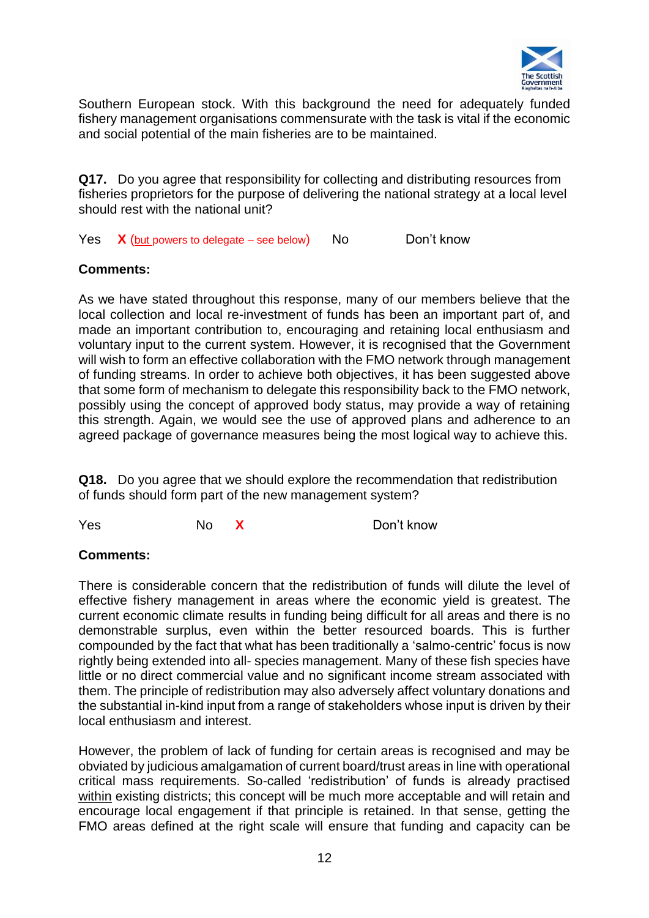

Southern European stock. With this background the need for adequately funded fishery management organisations commensurate with the task is vital if the economic and social potential of the main fisheries are to be maintained.

**Q17.** Do you agree that responsibility for collecting and distributing resources from fisheries proprietors for the purpose of delivering the national strategy at a local level should rest with the national unit?

Yes X (but powers to delegate – see below) No Don't know

#### **Comments:**

As we have stated throughout this response, many of our members believe that the local collection and local re-investment of funds has been an important part of, and made an important contribution to, encouraging and retaining local enthusiasm and voluntary input to the current system. However, it is recognised that the Government will wish to form an effective collaboration with the FMO network through management of funding streams. In order to achieve both objectives, it has been suggested above that some form of mechanism to delegate this responsibility back to the FMO network, possibly using the concept of approved body status, may provide a way of retaining this strength. Again, we would see the use of approved plans and adherence to an agreed package of governance measures being the most logical way to achieve this.

**Q18.** Do you agree that we should explore the recommendation that redistribution of funds should form part of the new management system?

Yes No **X** Don't know

#### **Comments:**

There is considerable concern that the redistribution of funds will dilute the level of effective fishery management in areas where the economic yield is greatest. The current economic climate results in funding being difficult for all areas and there is no demonstrable surplus, even within the better resourced boards. This is further compounded by the fact that what has been traditionally a 'salmo-centric' focus is now rightly being extended into all- species management. Many of these fish species have little or no direct commercial value and no significant income stream associated with them. The principle of redistribution may also adversely affect voluntary donations and the substantial in-kind input from a range of stakeholders whose input is driven by their local enthusiasm and interest.

However, the problem of lack of funding for certain areas is recognised and may be obviated by judicious amalgamation of current board/trust areas in line with operational critical mass requirements. So-called 'redistribution' of funds is already practised within existing districts; this concept will be much more acceptable and will retain and encourage local engagement if that principle is retained. In that sense, getting the FMO areas defined at the right scale will ensure that funding and capacity can be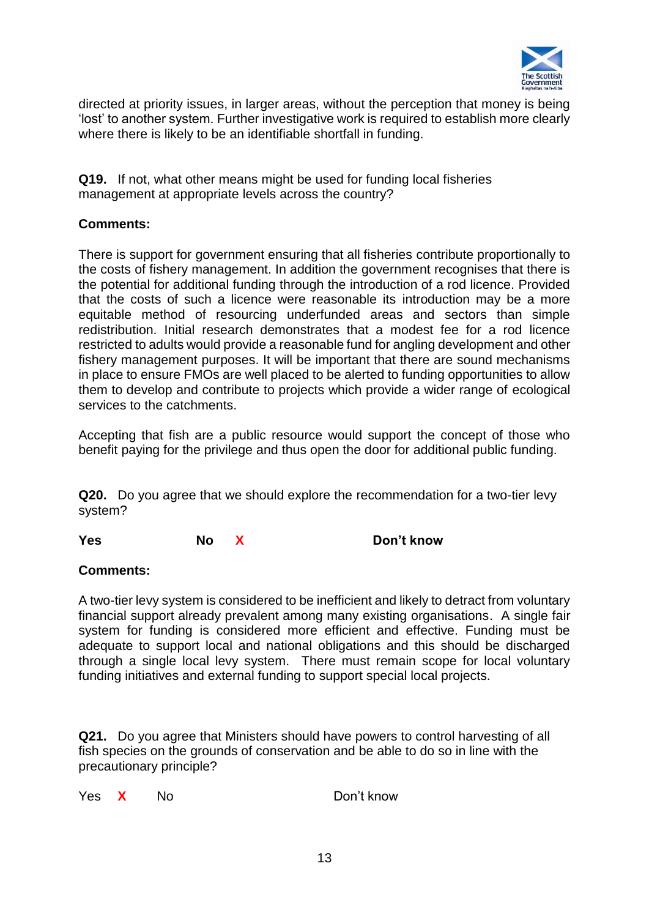

directed at priority issues, in larger areas, without the perception that money is being 'lost' to another system. Further investigative work is required to establish more clearly where there is likely to be an identifiable shortfall in funding.

**Q19.** If not, what other means might be used for funding local fisheries management at appropriate levels across the country?

## **Comments:**

There is support for government ensuring that all fisheries contribute proportionally to the costs of fishery management. In addition the government recognises that there is the potential for additional funding through the introduction of a rod licence. Provided that the costs of such a licence were reasonable its introduction may be a more equitable method of resourcing underfunded areas and sectors than simple redistribution. Initial research demonstrates that a modest fee for a rod licence restricted to adults would provide a reasonable fund for angling development and other fishery management purposes. It will be important that there are sound mechanisms in place to ensure FMOs are well placed to be alerted to funding opportunities to allow them to develop and contribute to projects which provide a wider range of ecological services to the catchments.

Accepting that fish are a public resource would support the concept of those who benefit paying for the privilege and thus open the door for additional public funding.

**Q20.** Do you agree that we should explore the recommendation for a two-tier levy system?

**Yes No X Don't know**

#### **Comments:**

A two-tier levy system is considered to be inefficient and likely to detract from voluntary financial support already prevalent among many existing organisations. A single fair system for funding is considered more efficient and effective. Funding must be adequate to support local and national obligations and this should be discharged through a single local levy system. There must remain scope for local voluntary funding initiatives and external funding to support special local projects.

**Q21.** Do you agree that Ministers should have powers to control harvesting of all fish species on the grounds of conservation and be able to do so in line with the precautionary principle?

Yes **X** No Don't know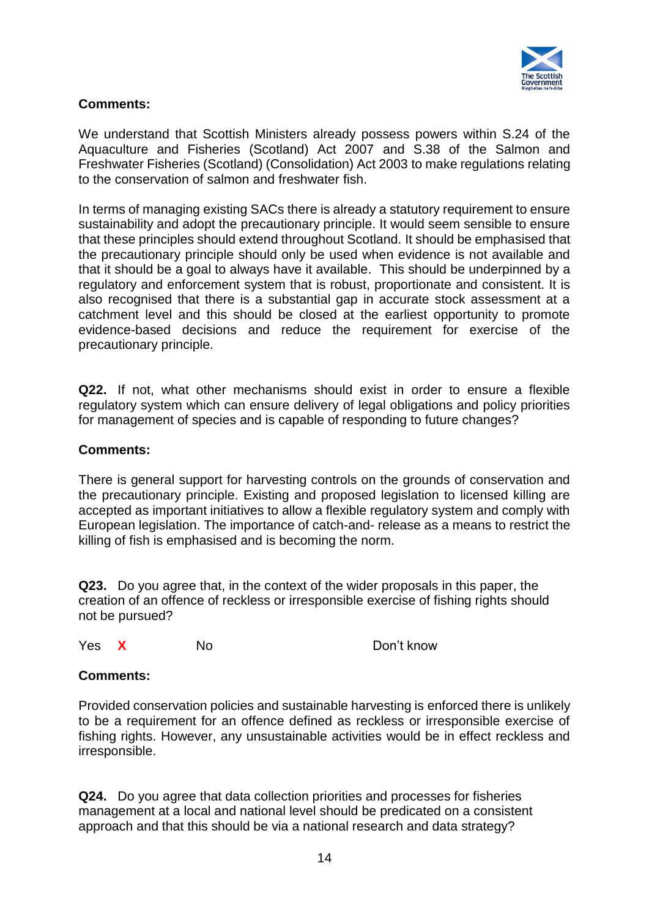

## **Comments:**

We understand that Scottish Ministers already possess powers within S.24 of the Aquaculture and Fisheries (Scotland) Act 2007 and S.38 of the Salmon and Freshwater Fisheries (Scotland) (Consolidation) Act 2003 to make regulations relating to the conservation of salmon and freshwater fish.

In terms of managing existing SACs there is already a statutory requirement to ensure sustainability and adopt the precautionary principle. It would seem sensible to ensure that these principles should extend throughout Scotland. It should be emphasised that the precautionary principle should only be used when evidence is not available and that it should be a goal to always have it available. This should be underpinned by a regulatory and enforcement system that is robust, proportionate and consistent. It is also recognised that there is a substantial gap in accurate stock assessment at a catchment level and this should be closed at the earliest opportunity to promote evidence-based decisions and reduce the requirement for exercise of the precautionary principle.

**Q22.** If not, what other mechanisms should exist in order to ensure a flexible regulatory system which can ensure delivery of legal obligations and policy priorities for management of species and is capable of responding to future changes?

#### **Comments:**

There is general support for harvesting controls on the grounds of conservation and the precautionary principle. Existing and proposed legislation to licensed killing are accepted as important initiatives to allow a flexible regulatory system and comply with European legislation. The importance of catch-and- release as a means to restrict the killing of fish is emphasised and is becoming the norm.

**Q23.** Do you agree that, in the context of the wider proposals in this paper, the creation of an offence of reckless or irresponsible exercise of fishing rights should not be pursued?

Yes **X** No Don't know

#### **Comments:**

Provided conservation policies and sustainable harvesting is enforced there is unlikely to be a requirement for an offence defined as reckless or irresponsible exercise of fishing rights. However, any unsustainable activities would be in effect reckless and irresponsible.

**Q24.** Do you agree that data collection priorities and processes for fisheries management at a local and national level should be predicated on a consistent approach and that this should be via a national research and data strategy?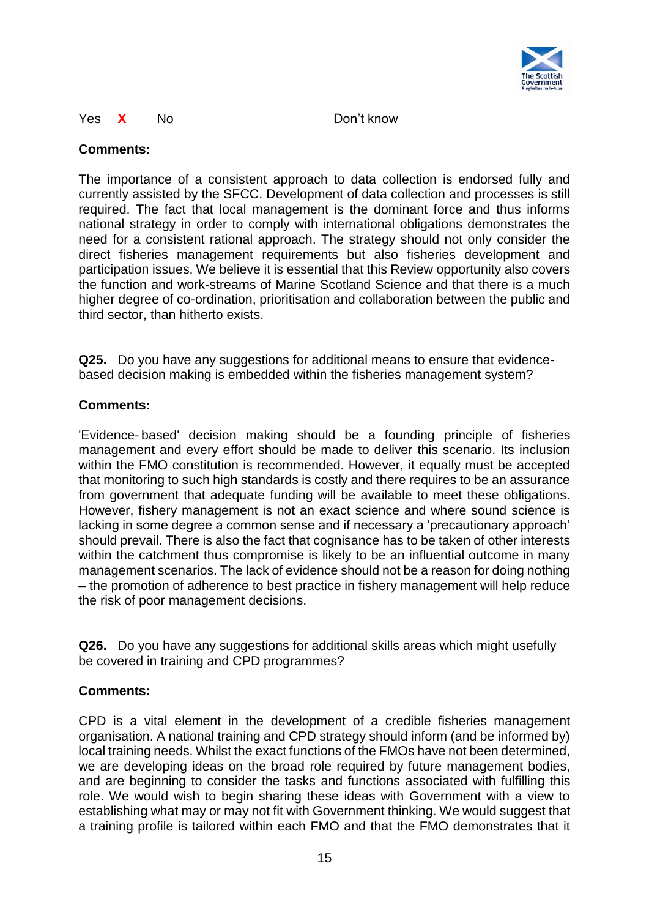

#### Yes **X** No Don't know

#### **Comments:**

The importance of a consistent approach to data collection is endorsed fully and currently assisted by the SFCC. Development of data collection and processes is still required. The fact that local management is the dominant force and thus informs national strategy in order to comply with international obligations demonstrates the need for a consistent rational approach. The strategy should not only consider the direct fisheries management requirements but also fisheries development and participation issues. We believe it is essential that this Review opportunity also covers the function and work-streams of Marine Scotland Science and that there is a much higher degree of co-ordination, prioritisation and collaboration between the public and third sector, than hitherto exists.

**Q25.** Do you have any suggestions for additional means to ensure that evidencebased decision making is embedded within the fisheries management system?

#### **Comments:**

'Evidence- based' decision making should be a founding principle of fisheries management and every effort should be made to deliver this scenario. Its inclusion within the FMO constitution is recommended. However, it equally must be accepted that monitoring to such high standards is costly and there requires to be an assurance from government that adequate funding will be available to meet these obligations. However, fishery management is not an exact science and where sound science is lacking in some degree a common sense and if necessary a 'precautionary approach' should prevail. There is also the fact that cognisance has to be taken of other interests within the catchment thus compromise is likely to be an influential outcome in many management scenarios. The lack of evidence should not be a reason for doing nothing – the promotion of adherence to best practice in fishery management will help reduce the risk of poor management decisions.

**Q26.** Do you have any suggestions for additional skills areas which might usefully be covered in training and CPD programmes?

#### **Comments:**

CPD is a vital element in the development of a credible fisheries management organisation. A national training and CPD strategy should inform (and be informed by) local training needs. Whilst the exact functions of the FMOs have not been determined, we are developing ideas on the broad role required by future management bodies, and are beginning to consider the tasks and functions associated with fulfilling this role. We would wish to begin sharing these ideas with Government with a view to establishing what may or may not fit with Government thinking. We would suggest that a training profile is tailored within each FMO and that the FMO demonstrates that it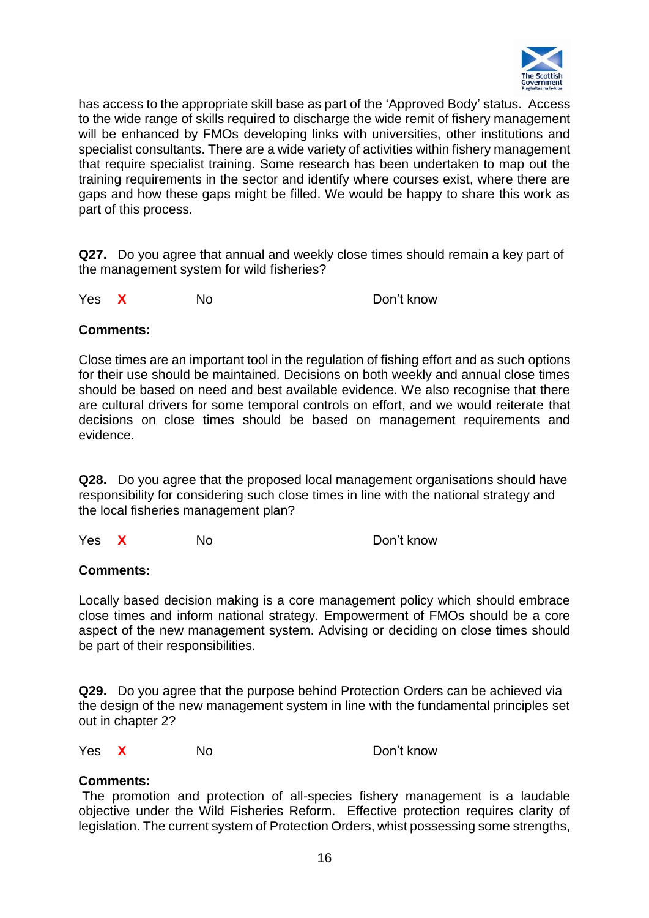

has access to the appropriate skill base as part of the 'Approved Body' status. Access to the wide range of skills required to discharge the wide remit of fishery management will be enhanced by FMOs developing links with universities, other institutions and specialist consultants. There are a wide variety of activities within fishery management that require specialist training. Some research has been undertaken to map out the training requirements in the sector and identify where courses exist, where there are gaps and how these gaps might be filled. We would be happy to share this work as part of this process.

**Q27.** Do you agree that annual and weekly close times should remain a key part of the management system for wild fisheries?

Yes **X** No Don't know

#### **Comments:**

Close times are an important tool in the regulation of fishing effort and as such options for their use should be maintained. Decisions on both weekly and annual close times should be based on need and best available evidence. We also recognise that there are cultural drivers for some temporal controls on effort, and we would reiterate that decisions on close times should be based on management requirements and evidence.

**Q28.** Do you agree that the proposed local management organisations should have responsibility for considering such close times in line with the national strategy and the local fisheries management plan?

Yes **X** No Don't know

#### **Comments:**

Locally based decision making is a core management policy which should embrace close times and inform national strategy. Empowerment of FMOs should be a core aspect of the new management system. Advising or deciding on close times should be part of their responsibilities.

**Q29.** Do you agree that the purpose behind Protection Orders can be achieved via the design of the new management system in line with the fundamental principles set out in chapter 2?

Yes **X** No Don't know

#### **Comments:**

The promotion and protection of all-species fishery management is a laudable objective under the Wild Fisheries Reform. Effective protection requires clarity of legislation. The current system of Protection Orders, whist possessing some strengths,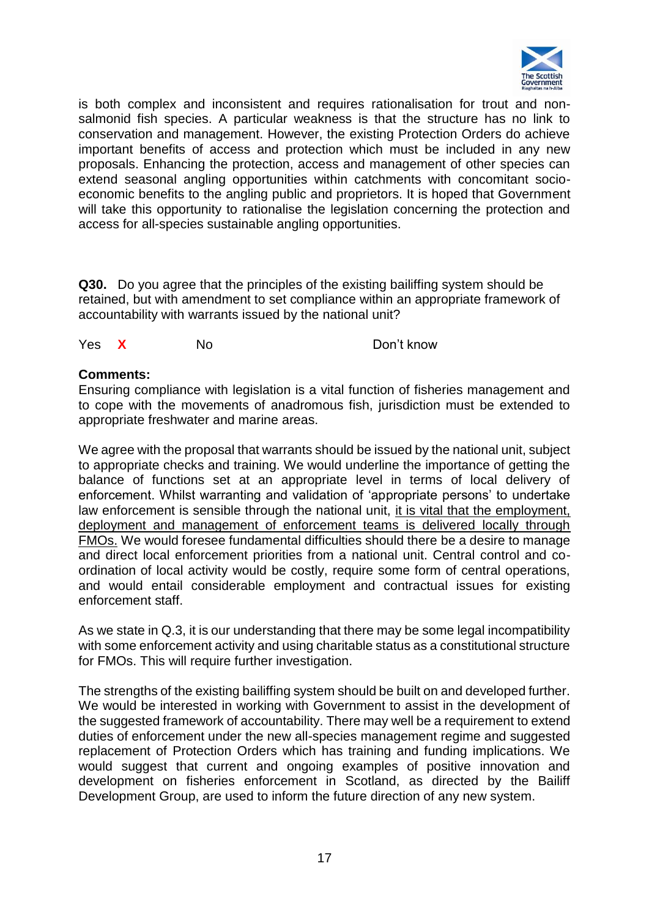

is both complex and inconsistent and requires rationalisation for trout and nonsalmonid fish species. A particular weakness is that the structure has no link to conservation and management. However, the existing Protection Orders do achieve important benefits of access and protection which must be included in any new proposals. Enhancing the protection, access and management of other species can extend seasonal angling opportunities within catchments with concomitant socioeconomic benefits to the angling public and proprietors. It is hoped that Government will take this opportunity to rationalise the legislation concerning the protection and access for all-species sustainable angling opportunities.

**Q30.** Do you agree that the principles of the existing bailiffing system should be retained, but with amendment to set compliance within an appropriate framework of accountability with warrants issued by the national unit?

Yes **X** No Don't know

#### **Comments:**

Ensuring compliance with legislation is a vital function of fisheries management and to cope with the movements of anadromous fish, jurisdiction must be extended to appropriate freshwater and marine areas.

We agree with the proposal that warrants should be issued by the national unit, subject to appropriate checks and training. We would underline the importance of getting the balance of functions set at an appropriate level in terms of local delivery of enforcement. Whilst warranting and validation of 'appropriate persons' to undertake law enforcement is sensible through the national unit, it is vital that the employment, deployment and management of enforcement teams is delivered locally through FMOs. We would foresee fundamental difficulties should there be a desire to manage and direct local enforcement priorities from a national unit. Central control and coordination of local activity would be costly, require some form of central operations, and would entail considerable employment and contractual issues for existing enforcement staff.

As we state in Q.3, it is our understanding that there may be some legal incompatibility with some enforcement activity and using charitable status as a constitutional structure for FMOs. This will require further investigation.

The strengths of the existing bailiffing system should be built on and developed further. We would be interested in working with Government to assist in the development of the suggested framework of accountability. There may well be a requirement to extend duties of enforcement under the new all-species management regime and suggested replacement of Protection Orders which has training and funding implications. We would suggest that current and ongoing examples of positive innovation and development on fisheries enforcement in Scotland, as directed by the Bailiff Development Group, are used to inform the future direction of any new system.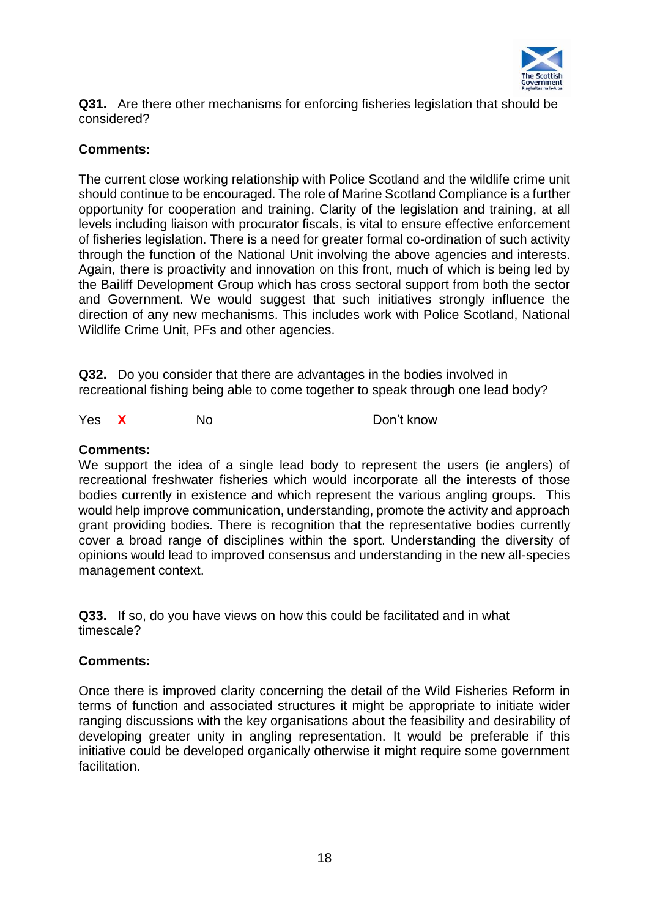

**Q31.** Are there other mechanisms for enforcing fisheries legislation that should be considered?

## **Comments:**

The current close working relationship with Police Scotland and the wildlife crime unit should continue to be encouraged. The role of Marine Scotland Compliance is a further opportunity for cooperation and training. Clarity of the legislation and training, at all levels including liaison with procurator fiscals, is vital to ensure effective enforcement of fisheries legislation. There is a need for greater formal co-ordination of such activity through the function of the National Unit involving the above agencies and interests. Again, there is proactivity and innovation on this front, much of which is being led by the Bailiff Development Group which has cross sectoral support from both the sector and Government. We would suggest that such initiatives strongly influence the direction of any new mechanisms. This includes work with Police Scotland, National Wildlife Crime Unit, PFs and other agencies.

**Q32.** Do you consider that there are advantages in the bodies involved in recreational fishing being able to come together to speak through one lead body?

Yes **X** No Don't know

#### **Comments:**

We support the idea of a single lead body to represent the users (ie anglers) of recreational freshwater fisheries which would incorporate all the interests of those bodies currently in existence and which represent the various angling groups. This would help improve communication, understanding, promote the activity and approach grant providing bodies. There is recognition that the representative bodies currently cover a broad range of disciplines within the sport. Understanding the diversity of opinions would lead to improved consensus and understanding in the new all-species management context.

**Q33.** If so, do you have views on how this could be facilitated and in what timescale?

#### **Comments:**

Once there is improved clarity concerning the detail of the Wild Fisheries Reform in terms of function and associated structures it might be appropriate to initiate wider ranging discussions with the key organisations about the feasibility and desirability of developing greater unity in angling representation. It would be preferable if this initiative could be developed organically otherwise it might require some government facilitation.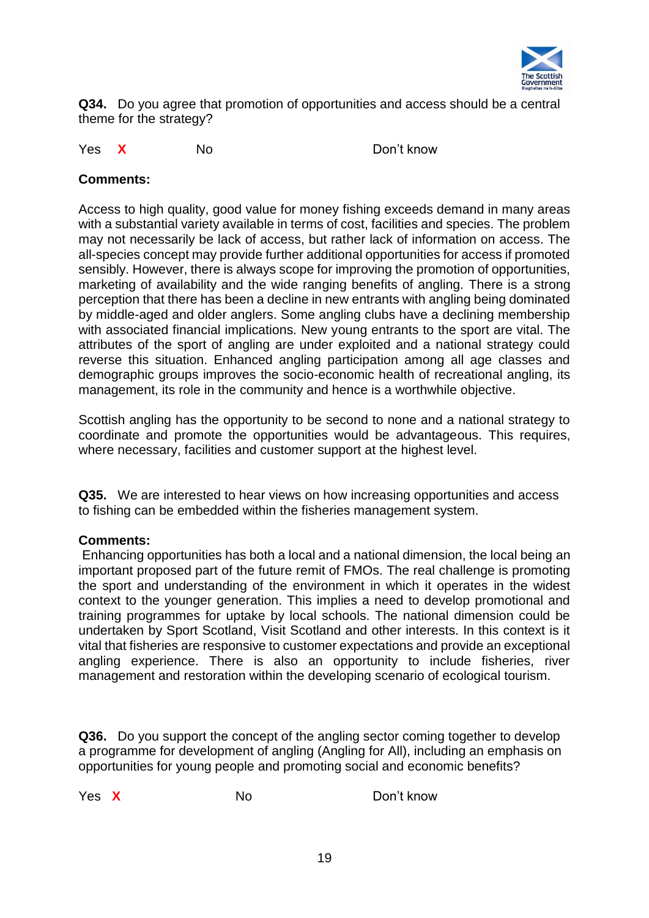

**Q34.** Do you agree that promotion of opportunities and access should be a central theme for the strategy?

Yes **X** No Don't know

## **Comments:**

Access to high quality, good value for money fishing exceeds demand in many areas with a substantial variety available in terms of cost, facilities and species. The problem may not necessarily be lack of access, but rather lack of information on access. The all-species concept may provide further additional opportunities for access if promoted sensibly. However, there is always scope for improving the promotion of opportunities, marketing of availability and the wide ranging benefits of angling. There is a strong perception that there has been a decline in new entrants with angling being dominated by middle-aged and older anglers. Some angling clubs have a declining membership with associated financial implications. New young entrants to the sport are vital. The attributes of the sport of angling are under exploited and a national strategy could reverse this situation. Enhanced angling participation among all age classes and demographic groups improves the socio-economic health of recreational angling, its management, its role in the community and hence is a worthwhile objective.

Scottish angling has the opportunity to be second to none and a national strategy to coordinate and promote the opportunities would be advantageous. This requires, where necessary, facilities and customer support at the highest level.

**Q35.** We are interested to hear views on how increasing opportunities and access to fishing can be embedded within the fisheries management system.

#### **Comments:**

Enhancing opportunities has both a local and a national dimension, the local being an important proposed part of the future remit of FMOs. The real challenge is promoting the sport and understanding of the environment in which it operates in the widest context to the younger generation. This implies a need to develop promotional and training programmes for uptake by local schools. The national dimension could be undertaken by Sport Scotland, Visit Scotland and other interests. In this context is it vital that fisheries are responsive to customer expectations and provide an exceptional angling experience. There is also an opportunity to include fisheries, river management and restoration within the developing scenario of ecological tourism.

**Q36.** Do you support the concept of the angling sector coming together to develop a programme for development of angling (Angling for All), including an emphasis on opportunities for young people and promoting social and economic benefits?

Yes X No Don't know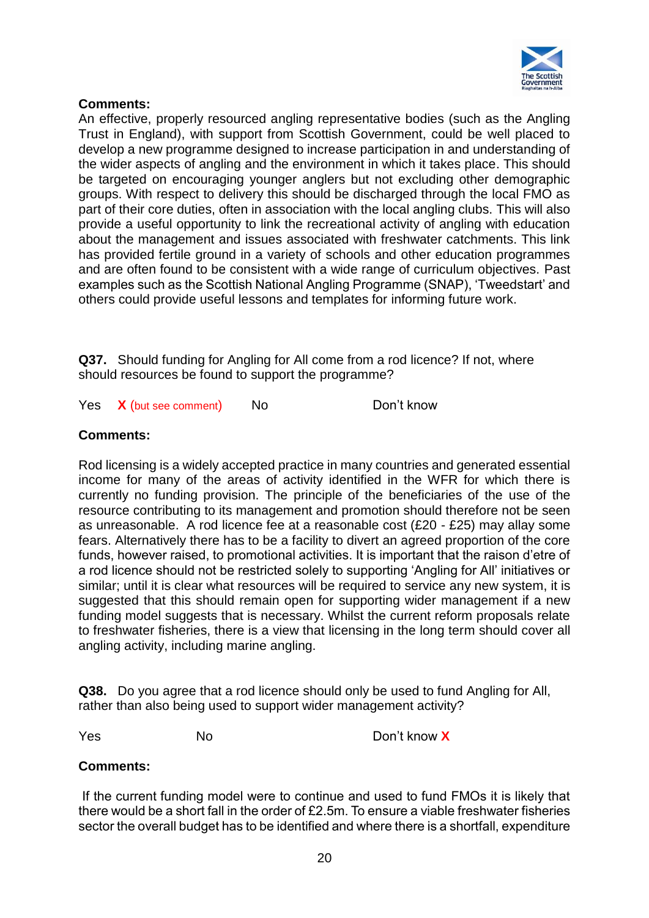

## **Comments:**

An effective, properly resourced angling representative bodies (such as the Angling Trust in England), with support from Scottish Government, could be well placed to develop a new programme designed to increase participation in and understanding of the wider aspects of angling and the environment in which it takes place. This should be targeted on encouraging younger anglers but not excluding other demographic groups. With respect to delivery this should be discharged through the local FMO as part of their core duties, often in association with the local angling clubs. This will also provide a useful opportunity to link the recreational activity of angling with education about the management and issues associated with freshwater catchments. This link has provided fertile ground in a variety of schools and other education programmes and are often found to be consistent with a wide range of curriculum objectives. Past examples such as the Scottish National Angling Programme (SNAP), 'Tweedstart' and others could provide useful lessons and templates for informing future work.

**Q37.** Should funding for Angling for All come from a rod licence? If not, where should resources be found to support the programme?

Yes **X** (but see comment) No Don't know

## **Comments:**

Rod licensing is a widely accepted practice in many countries and generated essential income for many of the areas of activity identified in the WFR for which there is currently no funding provision. The principle of the beneficiaries of the use of the resource contributing to its management and promotion should therefore not be seen as unreasonable. A rod licence fee at a reasonable cost (£20 - £25) may allay some fears. Alternatively there has to be a facility to divert an agreed proportion of the core funds, however raised, to promotional activities. It is important that the raison d'etre of a rod licence should not be restricted solely to supporting 'Angling for All' initiatives or similar; until it is clear what resources will be required to service any new system, it is suggested that this should remain open for supporting wider management if a new funding model suggests that is necessary. Whilst the current reform proposals relate to freshwater fisheries, there is a view that licensing in the long term should cover all angling activity, including marine angling.

**Q38.** Do you agree that a rod licence should only be used to fund Angling for All, rather than also being used to support wider management activity?

Yes No Don't know **X**

#### **Comments:**

If the current funding model were to continue and used to fund FMOs it is likely that there would be a short fall in the order of £2.5m. To ensure a viable freshwater fisheries sector the overall budget has to be identified and where there is a shortfall, expenditure